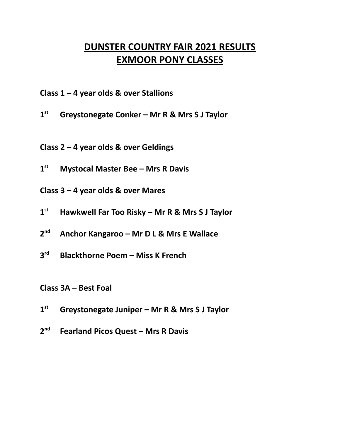## **DUNSTER COUNTRY FAIR 2021 RESULTS EXMOOR PONY CLASSES**

- **Class 1 – 4 year olds & over Stallions**
- **1 st Greystonegate Conker – Mr R & Mrs S J Taylor**
- **Class 2 – 4 year olds & over Geldings**
- **1 st Mystocal Master Bee – Mrs R Davis**
- **Class 3 – 4 year olds & over Mares**
- **1 st Hawkwell Far Too Risky – Mr R & Mrs S J Taylor**
- **2 nd Anchor Kangaroo – Mr D L & Mrs E Wallace**
- **3 rd Blackthorne Poem – Miss K French**
- **Class 3A – Best Foal**
- **1 st Greystonegate Juniper – Mr R & Mrs S J Taylor**
- **2 nd Fearland Picos Quest – Mrs R Davis**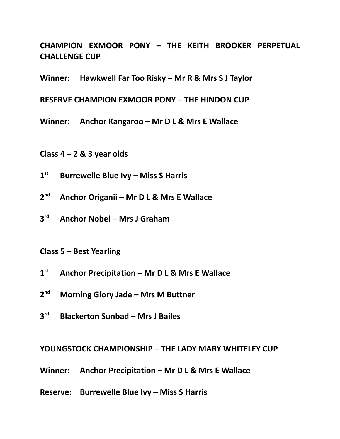**CHAMPION EXMOOR PONY – THE KEITH BROOKER PERPETUAL CHALLENGE CUP**

**Winner: Hawkwell Far Too Risky – Mr R & Mrs S J Taylor**

**RESERVE CHAMPION EXMOOR PONY – THE HINDON CUP**

**Winner: Anchor Kangaroo – Mr D L & Mrs E Wallace**

**Class 4 – 2 & 3 year olds**

- $1^{\text{st}}$ **st Burrewelle Blue Ivy – Miss S Harris**
- $2<sup>nd</sup>$ **nd Anchor Origanii – Mr D L & Mrs E Wallace**
- **3 rd Anchor Nobel – Mrs J Graham**

**Class 5 – Best Yearling**

- **1 st Anchor Precipitation – Mr D L & Mrs E Wallace**
- **2 nd Morning Glory Jade – Mrs M Buttner**
- **3 rd Blackerton Sunbad – Mrs J Bailes**

**YOUNGSTOCK CHAMPIONSHIP – THE LADY MARY WHITELEY CUP**

**Winner: Anchor Precipitation – Mr D L & Mrs E Wallace**

**Reserve: Burrewelle Blue Ivy – Miss S Harris**